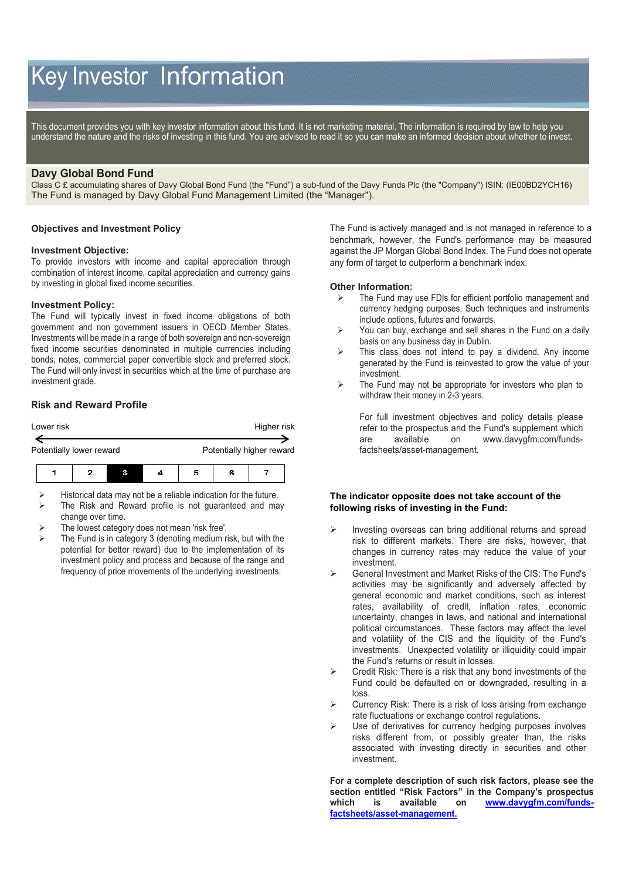# Key Investor Information

This document provides you with key investor information about this fund. It is not marketing material. The information is required by law to help you understand the nature and the risks of investing in this fund. You are advised to read it so you can make an informed decision about whether to invest.

# **Davy Global Bond Fund**

Class C £ accumulating shares of Davy Global Bond Fund (the "Fund") a sub-fund of the Davy Funds Plc (the "Company") ISIN: (IE00BD2YCH16) The Fund is managed by Davy Global Fund Management Limited (the "Manager").

## **Objectives and Investment Policy**

#### **Investment Objective:**

To provide investors with income and capital appreciation through combination of interest income, capital appreciation and currency gains by investing in global fixed income securities.

#### **Investment Policy:**

The Fund will typically invest in fixed income obligations of both government and non government issuers in OECD Member States. Investments will be made in a range of both sovereign and non-sovereign fixed income securities denominated in multiple currencies including bonds, notes, commercial paper convertible stock and preferred stock. The Fund will only invest in securities which at the time of purchase are investment grade.

# **Risk and Reward Profile**



 Historical data may not be a reliable indication for the future.  $\triangleright$  The Risk and Reward profile is not guaranteed and may

- change over time. The lowest category does not mean 'risk free'.
- The Fund is in category 3 (denoting medium risk, but with the potential for better reward) due to the implementation of its investment policy and process and because of the range and frequency of price movements of the underlying investments.

The Fund is actively managed and is not managed in reference to a benchmark, however, the Fund's performance may be measured against the JP Morgan Global Bond Index. The Fund does not operate any form of target to outperform a benchmark index.

#### **Other Information:**

- The Fund may use FDIs for efficient portfolio management and currency hedging purposes. Such techniques and instruments include options, futures and forwards.
- $\triangleright$  You can buy, exchange and sell shares in the Fund on a daily basis on any business day in Dublin.
- $\triangleright$  This class does not intend to pay a dividend. Any income generated by the Fund is reinvested to grow the value of your investment.
- $\triangleright$  The Fund may not be appropriate for investors who plan to withdraw their money in 2-3 years.

For full investment objectives and policy details please refer to the prospectus and the Fund's supplement which are available on [www.davygfm.com/funds](http://www.davy.ie/)[factsheets/asset-management.](http://www.davy.ie/)

### **The indicator opposite does not take account of the following risks of investing in the Fund:**

- Investing overseas can bring additional returns and spread risk to different markets. There are risks, however, that changes in currency rates may reduce the value of your investment.
- General Investment and Market Risks of the CIS: The Fund's activities may be significantly and adversely affected by general economic and market conditions, such as interest rates, availability of credit, inflation rates, economic uncertainty, changes in laws, and national and international political circumstances. These factors may affect the level and volatility of the CIS and the liquidity of the Fund's investments. Unexpected volatility or illiquidity could impair the Fund's returns or result in losses.
- Credit Risk: There is a risk that any bond investments of the Fund could be defaulted on or downgraded, resulting in a loss.
- Currency Risk: There is a risk of loss arising from exchange rate fluctuations or exchange control regulations.
- Use of derivatives for currency hedging purposes involves risks different from, or possibly greater than, the risks associated with investing directly in securities and other investment.

**For a complete description of such risk factors, please see the section entitled "Risk Factors" in the Company's prospectus which is available on [www.davygfm.com/funds](http://www.davygfm.com/funds-factsheets/asset-management)[factsheets/asset-management.](http://www.davygfm.com/funds-factsheets/asset-management)**